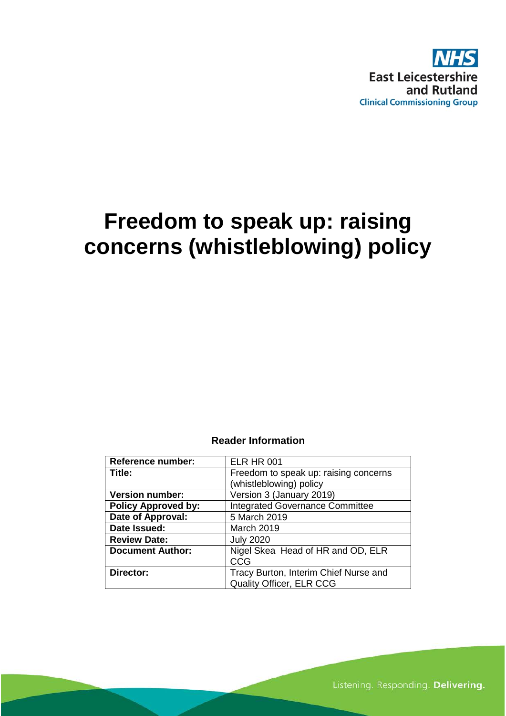

# **Freedom to speak up: raising concerns (whistleblowing) policy**

### **Reader Information**

| <b>Reference number:</b>   | <b>ELR HR 001</b>                      |
|----------------------------|----------------------------------------|
| Title:                     | Freedom to speak up: raising concerns  |
|                            | (whistleblowing) policy                |
| <b>Version number:</b>     | Version 3 (January 2019)               |
| <b>Policy Approved by:</b> | <b>Integrated Governance Committee</b> |
| Date of Approval:          | 5 March 2019                           |
| Date Issued:               | March 2019                             |
| <b>Review Date:</b>        | <b>July 2020</b>                       |
| <b>Document Author:</b>    | Nigel Skea Head of HR and OD, ELR      |
|                            | CCG                                    |
| Director:                  | Tracy Burton, Interim Chief Nurse and  |
|                            | <b>Quality Officer, ELR CCG</b>        |

Listening. Responding. Delivering.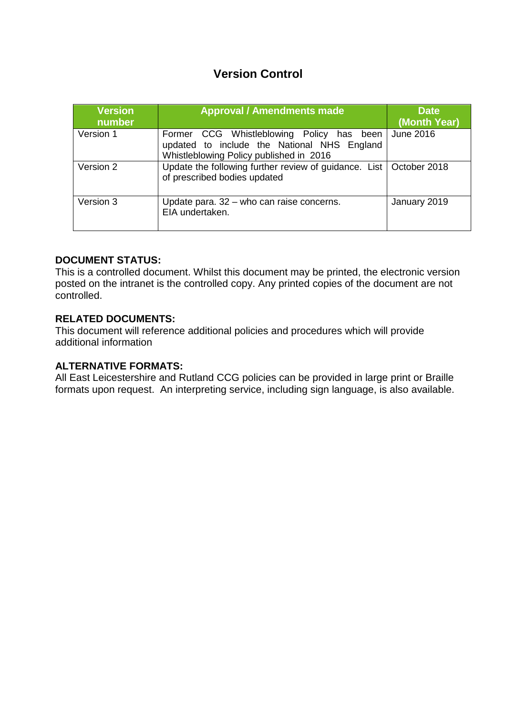# **Version Control**

| <b>Version</b><br>number | <b>Approval / Amendments made</b>                                                                                                   | <b>Date</b><br>(Month Year) |
|--------------------------|-------------------------------------------------------------------------------------------------------------------------------------|-----------------------------|
| Version 1                | Former CCG Whistleblowing Policy has been<br>updated to include the National NHS England<br>Whistleblowing Policy published in 2016 | June 2016                   |
| Version 2                | Update the following further review of guidance. List   October 2018<br>of prescribed bodies updated                                |                             |
| Version 3                | Update para. 32 - who can raise concerns.<br>EIA undertaken.                                                                        | January 2019                |

## **DOCUMENT STATUS:**

This is a controlled document. Whilst this document may be printed, the electronic version posted on the intranet is the controlled copy. Any printed copies of the document are not controlled.

### **RELATED DOCUMENTS:**

This document will reference additional policies and procedures which will provide additional information

### **ALTERNATIVE FORMATS:**

All East Leicestershire and Rutland CCG policies can be provided in large print or Braille formats upon request. An interpreting service, including sign language, is also available.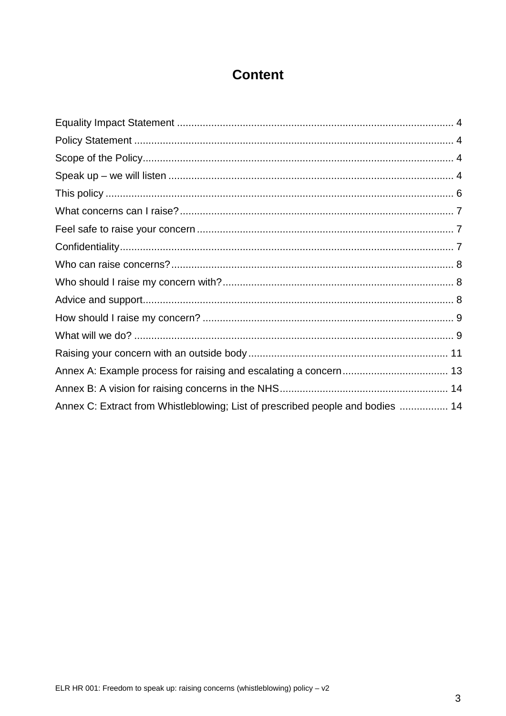# **Content**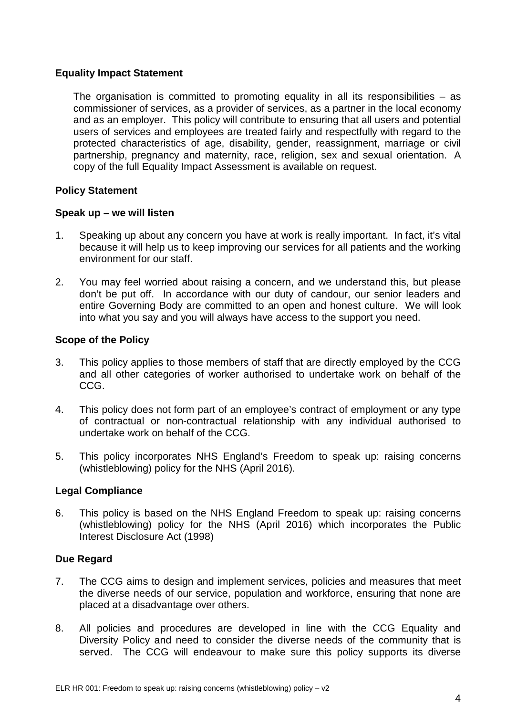# <span id="page-3-0"></span>**Equality Impact Statement**

The organisation is committed to promoting equality in all its responsibilities – as commissioner of services, as a provider of services, as a partner in the local economy and as an employer. This policy will contribute to ensuring that all users and potential users of services and employees are treated fairly and respectfully with regard to the protected characteristics of age, disability, gender, reassignment, marriage or civil partnership, pregnancy and maternity, race, religion, sex and sexual orientation. A copy of the full Equality Impact Assessment is available on request.

# **Policy Statement**

### <span id="page-3-2"></span>**Speak up – we will listen**

- 1. Speaking up about any concern you have at work is really important. In fact, it's vital because it will help us to keep improving our services for all patients and the working environment for our staff.
- 2. You may feel worried about raising a concern, and we understand this, but please don't be put off. In accordance with our duty of candour, our senior leaders and entire Governing Body are committed to an open and honest culture. We will look into what you say and you will always have access to the support you need.

### <span id="page-3-1"></span>**Scope of the Policy**

- 3. This policy applies to those members of staff that are directly employed by the CCG and all other categories of worker authorised to undertake work on behalf of the CCG.
- 4. This policy does not form part of an employee's contract of employment or any type of contractual or non-contractual relationship with any individual authorised to undertake work on behalf of the CCG.
- 5. This policy incorporates NHS England's Freedom to speak up: raising concerns (whistleblowing) policy for the NHS (April 2016).

### **Legal Compliance**

6. This policy is based on the NHS England Freedom to speak up: raising concerns (whistleblowing) policy for the NHS (April 2016) which incorporates the Public Interest Disclosure Act (1998)

### **Due Regard**

- 7. The CCG aims to design and implement services, policies and measures that meet the diverse needs of our service, population and workforce, ensuring that none are placed at a disadvantage over others.
- 8. All policies and procedures are developed in line with the CCG Equality and Diversity Policy and need to consider the diverse needs of the community that is served. The CCG will endeavour to make sure this policy supports its diverse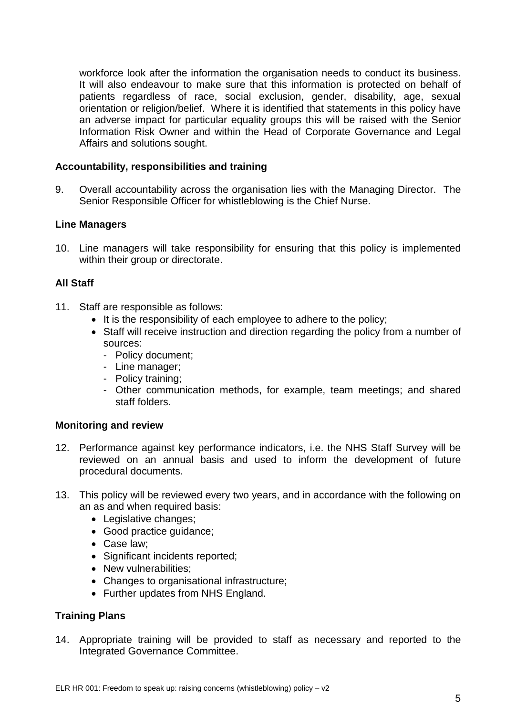workforce look after the information the organisation needs to conduct its business. It will also endeavour to make sure that this information is protected on behalf of patients regardless of race, social exclusion, gender, disability, age, sexual orientation or religion/belief. Where it is identified that statements in this policy have an adverse impact for particular equality groups this will be raised with the Senior Information Risk Owner and within the Head of Corporate Governance and Legal Affairs and solutions sought.

## **Accountability, responsibilities and training**

9. Overall accountability across the organisation lies with the Managing Director. The Senior Responsible Officer for whistleblowing is the Chief Nurse.

### **Line Managers**

10. Line managers will take responsibility for ensuring that this policy is implemented within their group or directorate.

### **All Staff**

- 11. Staff are responsible as follows:
	- It is the responsibility of each employee to adhere to the policy;
	- Staff will receive instruction and direction regarding the policy from a number of sources:
		- Policy document;
		- Line manager;
		- Policy training;
		- Other communication methods, for example, team meetings; and shared staff folders.

### **Monitoring and review**

- 12. Performance against key performance indicators, i.e. the NHS Staff Survey will be reviewed on an annual basis and used to inform the development of future procedural documents.
- 13. This policy will be reviewed every two years, and in accordance with the following on an as and when required basis:
	- Legislative changes;
	- Good practice guidance;
	- Case law;
	- Significant incidents reported;
	- New vulnerabilities;
	- Changes to organisational infrastructure;
	- Further updates from NHS England.

### **Training Plans**

14. Appropriate training will be provided to staff as necessary and reported to the Integrated Governance Committee.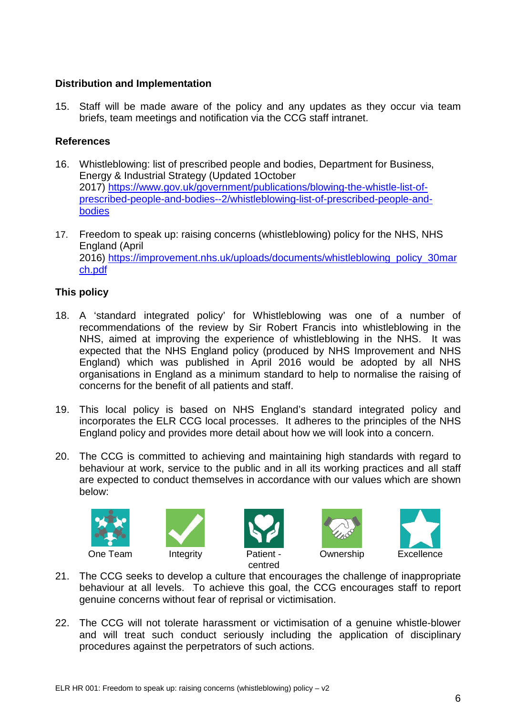# **Distribution and Implementation**

15. Staff will be made aware of the policy and any updates as they occur via team briefs, team meetings and notification via the CCG staff intranet.

# **References**

- 16. Whistleblowing: list of prescribed people and bodies, Department for Business, Energy & Industrial Strategy (Updated 1October 2017) [https://www.gov.uk/government/publications/blowing-the-whistle-list-of](https://www.gov.uk/government/publications/blowing-the-whistle-list-of-prescribed-people-and-bodies--2/whistleblowing-list-of-prescribed-people-and-bodies)[prescribed-people-and-bodies--2/whistleblowing-list-of-prescribed-people-and](https://www.gov.uk/government/publications/blowing-the-whistle-list-of-prescribed-people-and-bodies--2/whistleblowing-list-of-prescribed-people-and-bodies)[bodies](https://www.gov.uk/government/publications/blowing-the-whistle-list-of-prescribed-people-and-bodies--2/whistleblowing-list-of-prescribed-people-and-bodies)
- 17. Freedom to speak up: raising concerns (whistleblowing) policy for the NHS, NHS England (April 2016) [https://improvement.nhs.uk/uploads/documents/whistleblowing\\_policy\\_30mar](https://improvement.nhs.uk/uploads/documents/whistleblowing_policy_30march.pdf) [ch.pdf](https://improvement.nhs.uk/uploads/documents/whistleblowing_policy_30march.pdf)

# <span id="page-5-0"></span>**This policy**

- 18. A 'standard integrated policy' for Whistleblowing was one of a number of recommendations of the review by Sir Robert Francis into whistleblowing in the NHS, aimed at improving the experience of whistleblowing in the NHS. It was expected that the NHS England policy (produced by NHS Improvement and NHS England) which was published in April 2016 would be adopted by all NHS organisations in England as a minimum standard to help to normalise the raising of concerns for the benefit of all patients and staff.
- 19. This local policy is based on NHS England's standard integrated policy and incorporates the ELR CCG local processes. It adheres to the principles of the NHS England policy and provides more detail about how we will look into a concern.
- 20. The CCG is committed to achieving and maintaining high standards with regard to behaviour at work, service to the public and in all its working practices and all staff are expected to conduct themselves in accordance with our values which are shown below:











- 21. The CCG seeks to develop a culture that encourages the challenge of inappropriate behaviour at all levels. To achieve this goal, the CCG encourages staff to report genuine concerns without fear of reprisal or victimisation.
- 22. The CCG will not tolerate harassment or victimisation of a genuine whistle-blower and will treat such conduct seriously including the application of disciplinary procedures against the perpetrators of such actions.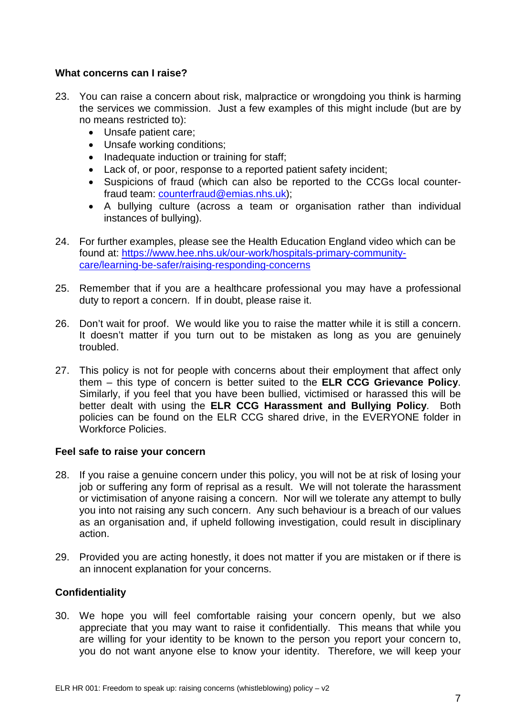## <span id="page-6-0"></span>**What concerns can I raise?**

- 23. You can raise a concern about risk, malpractice or wrongdoing you think is harming the services we commission. Just a few examples of this might include (but are by no means restricted to):
	- Unsafe patient care;
	- Unsafe working conditions;
	- Inadequate induction or training for staff;
	- Lack of, or poor, response to a reported patient safety incident;
	- Suspicions of fraud (which can also be reported to the CCGs local counterfraud team: [counterfraud@emias.nhs.uk\)](mailto:counterfraud@emias.nhs.uk);
	- A bullying culture (across a team or organisation rather than individual instances of bullying).
- 24. For further examples, please see the [Health Education England video](https://www.youtube.com/watch?v=zjau1Ey0di8) which can be found at: [https://www.hee.nhs.uk/our-work/hospitals-primary-community](https://www.hee.nhs.uk/our-work/hospitals-primary-community-care/learning-be-safer/raising-responding-concerns)[care/learning-be-safer/raising-responding-concerns](https://www.hee.nhs.uk/our-work/hospitals-primary-community-care/learning-be-safer/raising-responding-concerns)
- 25. Remember that if you are a healthcare professional you may have a professional duty to report a concern. If in doubt, please raise it.
- 26. Don't wait for proof. We would like you to raise the matter while it is still a concern. It doesn't matter if you turn out to be mistaken as long as you are genuinely troubled.
- 27. This policy is not for people with concerns about their employment that affect only them – this type of concern is better suited to the **ELR CCG Grievance Policy**. Similarly, if you feel that you have been bullied, victimised or harassed this will be better dealt with using the **ELR CCG Harassment and Bullying Policy**. Both policies can be found on the ELR CCG shared drive, in the EVERYONE folder in Workforce Policies.

### <span id="page-6-1"></span>**Feel safe to raise your concern**

- 28. If you raise a genuine concern under this policy, you will not be at risk of losing your job or suffering any form of reprisal as a result. We will not tolerate the harassment or victimisation of anyone raising a concern. Nor will we tolerate any attempt to bully you into not raising any such concern. Any such behaviour is a breach of our values as an organisation and, if upheld following investigation, could result in disciplinary action.
- 29. Provided you are acting honestly, it does not matter if you are mistaken or if there is an innocent explanation for your concerns.

### <span id="page-6-2"></span>**Confidentiality**

30. We hope you will feel comfortable raising your concern openly, but we also appreciate that you may want to raise it confidentially. This means that while you are willing for your identity to be known to the person you report your concern to, you do not want anyone else to know your identity. Therefore, we will keep your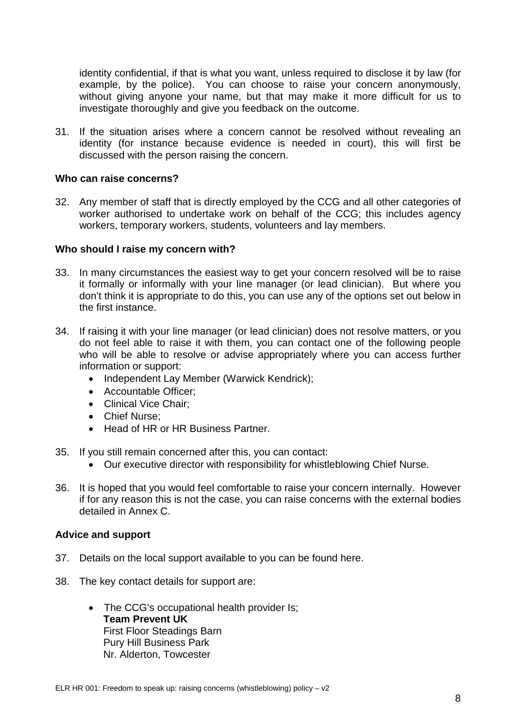identity confidential, if that is what you want, unless required to disclose it by law (for example, by the police). You can choose to raise your concern anonymously, without giving anyone your name, but that may make it more difficult for us to investigate thoroughly and give you feedback on the outcome.

31. If the situation arises where a concern cannot be resolved without revealing an identity (for instance because evidence is needed in court), this will first be discussed with the person raising the concern.

#### <span id="page-7-0"></span>**Who can raise concerns?**

32. Any member of staff that is directly employed by the CCG and all other categories of worker authorised to undertake work on behalf of the CCG; this includes agency workers, temporary workers, students, volunteers and lay members.

#### <span id="page-7-1"></span>**Who should I raise my concern with?**

- 33. In many circumstances the easiest way to get your concern resolved will be to raise it formally or informally with your line manager (or lead clinician). But where you don't think it is appropriate to do this, you can use any of the options set out below in the first instance.
- 34. If raising it with your line manager (or lead clinician) does not resolve matters, or you do not feel able to raise it with them, you can contact one of the following people who will be able to resolve or advise appropriately where you can access further information or support:
	- Independent Lay Member (Warwick Kendrick);
	- Accountable Officer;
	- Clinical Vice Chair;
	- Chief Nurse;
	- Head of HR or HR Business Partner.
- 35. If you still remain concerned after this, you can contact:
	- Our executive director with responsibility for whistleblowing Chief Nurse.
- 36. It is hoped that you would feel comfortable to raise your concern internally. However if for any reason this is not the case, you can raise concerns with the external bodies detailed in Annex C.

#### <span id="page-7-2"></span>**Advice and support**

- 37. Details on the local support available to you can be found here.
- 38. The key contact details for support are:
	- The CCG's occupational health provider Is; **Team Prevent UK** First Floor Steadings Barn Pury Hill Business Park Nr. Alderton, Towcester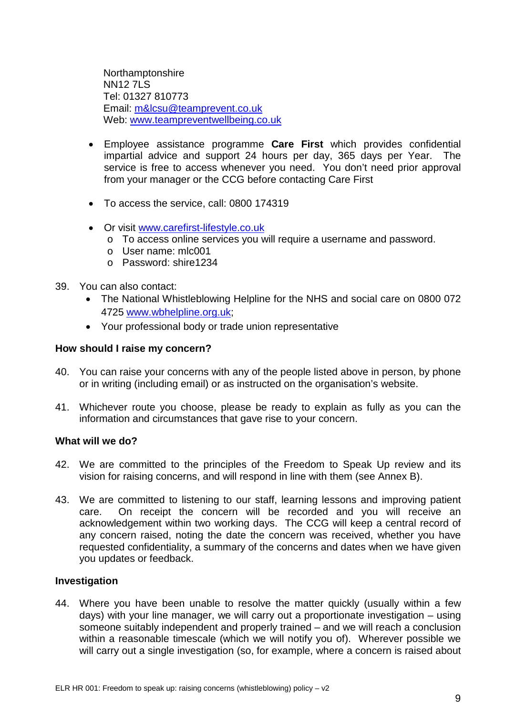Northamptonshire **NN12 7LS** Tel: 01327 810773 Email: [m&lcsu@teamprevent.co.uk](mailto:m&lcsu@teamprevent.co.uk) Web: [www.teampreventwellbeing.co.uk](http://www.teampreventwellbeing.co.uk/)

- Employee assistance programme **Care First** which provides confidential impartial advice and support 24 hours per day, 365 days per Year. The service is free to access whenever you need. You don't need prior approval from your manager or the CCG before contacting Care First
- To access the service, call: 0800 174319
- Or visit [www.carefirst-lifestyle.co.uk](http://www.carefirst-lifestyle.co.uk/)
	- o To access online services you will require a username and password.
	- o User name: mlc001
	- o Password: shire1234
- 39. You can also contact:
	- The National [Whistleblowing Helpline](http://wbhelpline.org.uk/) for the NHS and social care on 0800 072 4725 [www.wbhelpline.org.uk;](http://www.wbhelpline.org.uk/)
	- Your professional body or trade union representative

#### <span id="page-8-0"></span>**How should I raise my concern?**

- 40. You can raise your concerns with any of the people listed above in person, by phone or in writing (including email) or as instructed on the organisation's website.
- 41. Whichever route you choose, please be ready to explain as fully as you can the information and circumstances that gave rise to your concern.

#### <span id="page-8-1"></span>**What will we do?**

- 42. We are committed to the principles of the Freedom to Speak Up review and its vision for raising concerns, and will respond in line with them (see Annex B).
- 43. We are committed to listening to our staff, learning lessons and improving patient care. On receipt the concern will be recorded and you will receive an acknowledgement within two working days. The CCG will keep a central record of any concern raised, noting the date the concern was received, whether you have requested confidentiality, a summary of the concerns and dates when we have given you updates or feedback.

#### **Investigation**

44. Where you have been unable to resolve the matter quickly (usually within a few days) with your line manager, we will carry out a proportionate investigation – using someone suitably independent and properly trained – and we will reach a conclusion within a reasonable timescale (which we will notify you of). Wherever possible we will carry out a single investigation (so, for example, where a concern is raised about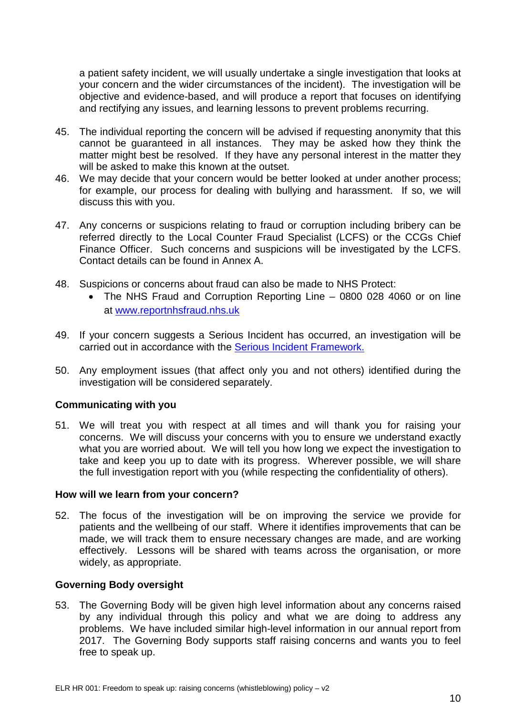a patient safety incident, we will usually undertake a single investigation that looks at your concern and the wider circumstances of the incident). The investigation will be objective and evidence-based, and will produce a report that focuses on identifying and rectifying any issues, and learning lessons to prevent problems recurring.

- 45. The individual reporting the concern will be advised if requesting anonymity that this cannot be guaranteed in all instances. They may be asked how they think the matter might best be resolved. If they have any personal interest in the matter they will be asked to make this known at the outset.
- 46. We may decide that your concern would be better looked at under another process; for example, our process for dealing with bullying and harassment. If so, we will discuss this with you.
- 47. Any concerns or suspicions relating to fraud or corruption including bribery can be referred directly to the Local Counter Fraud Specialist (LCFS) or the CCGs Chief Finance Officer. Such concerns and suspicions will be investigated by the LCFS. Contact details can be found in Annex A.
- 48. Suspicions or concerns about fraud can also be made to NHS Protect:
	- The NHS Fraud and Corruption Reporting Line 0800 028 4060 or on line at [www.reportnhsfraud.nhs.uk](http://www.reportnhsfraud.nhs.uk/)
- 49. If your concern suggests a Serious Incident has occurred, an investigation will be carried out in accordance with the [Serious Incident Framework.](https://www.england.nhs.uk/patientsafety/serious-incident/)
- 50. Any employment issues (that affect only you and not others) identified during the investigation will be considered separately.

### **Communicating with you**

51. We will treat you with respect at all times and will thank you for raising your concerns. We will discuss your concerns with you to ensure we understand exactly what you are worried about. We will tell you how long we expect the investigation to take and keep you up to date with its progress. Wherever possible, we will share the full investigation report with you (while respecting the confidentiality of others).

#### **How will we learn from your concern?**

52. The focus of the investigation will be on improving the service we provide for patients and the wellbeing of our staff. Where it identifies improvements that can be made, we will track them to ensure necessary changes are made, and are working effectively. Lessons will be shared with teams across the organisation, or more widely, as appropriate.

#### **Governing Body oversight**

53. The Governing Body will be given high level information about any concerns raised by any individual through this policy and what we are doing to address any problems. We have included similar high-level information in our annual report from 2017. The Governing Body supports staff raising concerns and wants you to feel free to speak up.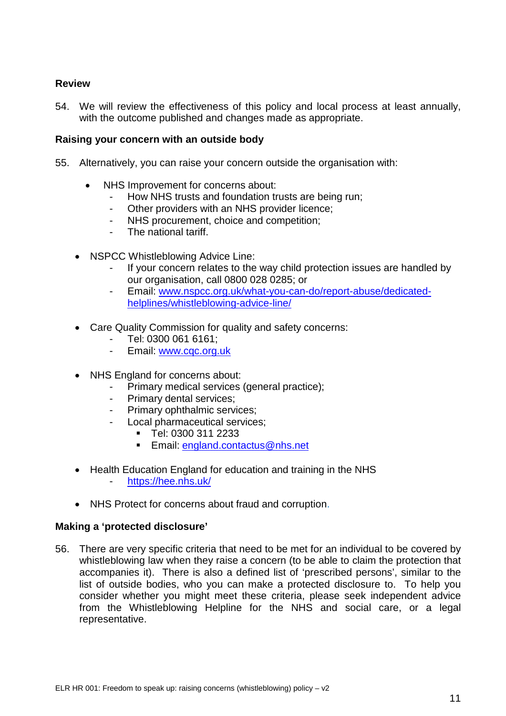# **Review**

54. We will review the effectiveness of this policy and local process at least annually, with the outcome published and changes made as appropriate.

### <span id="page-10-0"></span>**Raising your concern with an outside body**

- 55. Alternatively, you can raise your concern outside the organisation with:
	- [NHS](https://www.gov.uk/government/organisations/monitor/about/complaints-procedure) Improvement for concerns about:
		- How NHS trusts and foundation trusts are being run;
		- Other [providers](https://www.gov.uk/government/uploads/system/uploads/attachment_data/file/441473/REGISTER_OF_LICENCE_HOLDERS_-_01072015.csv/preview) with an NHS provider licence;
		- NHS procurement, choice and competition;
		- The national tariff.
	- NSPCC Whistleblowing Advice Line:
		- If your concern relates to the way child protection issues are handled by our organisation, call 0800 028 0285; or
		- Email: [www.nspcc.org.uk/what-you-can-do/report-abuse/dedicated](http://www.nspcc.org.uk/what-you-can-do/report-abuse/dedicated-helplines/whistleblowing-advice-line/)[helplines/whistleblowing-advice-line/](http://www.nspcc.org.uk/what-you-can-do/report-abuse/dedicated-helplines/whistleblowing-advice-line/)
	- [Care Quality](http://www.cqc.org.uk/content/who-we-are) Commission for quality and safety concerns:
		- Tel: 0300 061 6161;
		- Email: [www.cqc.org.uk](http://www.cqc.org.uk/)
	- NHS [England](http://www.england.nhs.uk/) for concerns about:
		- Primary medical services (general practice);
			- Primary dental services;
		- Primary ophthalmic services;
		- Local pharmaceutical services;
			- Tel: 0300 311 2233
			- Email: [england.contactus@nhs.net](mailto:england.contactus@nhs.net)
	- [Health Education](https://hee.nhs.uk/about/how-we-work/what-we-do/) England for education and training in the NHS - <https://hee.nhs.uk/>
	- NHS [Protect](http://www.nhsbsa.nhs.uk/3350.aspx) for concerns about fraud and corruption.

### **Making a 'protected disclosure'**

56. There are very specific criteria that need to be met for an individual to be covered by whistleblowing law when they raise a concern (to be able to claim the protection that accompanies it). There is also a defined list of ['prescribed persons'](https://www.gov.uk/government/uploads/system/uploads/attachment_data/file/431221/bis-15-289-blowing-the-whistle-to-a-prescribed-person-list-of-prescribed-persons-and-bodies-2.pdf), similar to the list of outside bodies, who you can make a protected disclosure to. To help you consider whether you might meet these criteria, please seek independent advice from the [Whistleblowing Helpline](http://wbhelpline.org.uk/) for the NHS and social care, or a legal representative.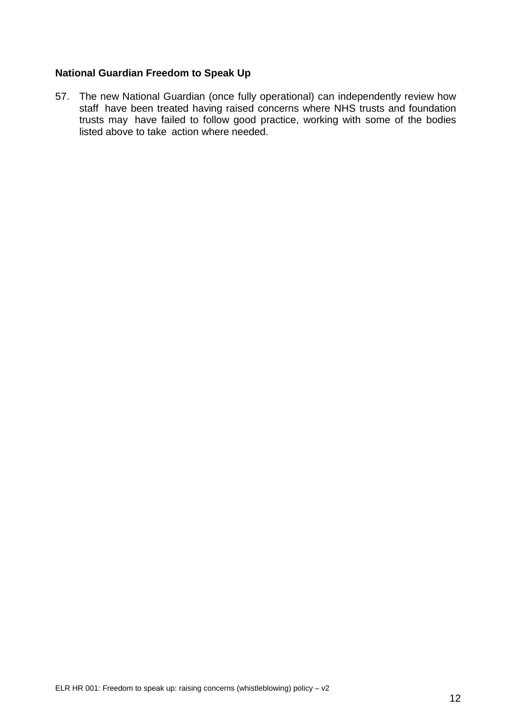# **National Guardian Freedom to Speak Up**

57. The new National Guardian (once fully operational) can independently review how staff have been treated having raised concerns where NHS trusts and foundation trusts may have failed to follow good practice, working with some of the bodies listed above to take action where needed.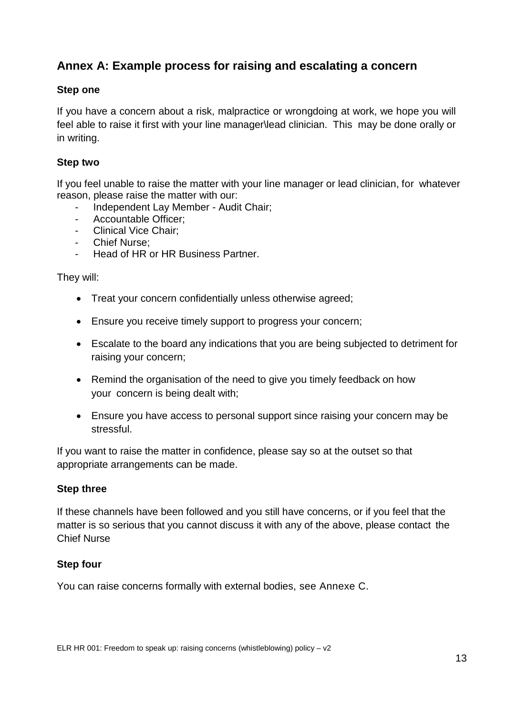# <span id="page-12-0"></span>**Annex A: Example process for raising and escalating a concern**

# **Step one**

If you have a concern about a risk, malpractice or wrongdoing at work, we hope you will feel able to raise it first with your line manager\lead clinician. This may be done orally or in writing.

# **Step two**

If you feel unable to raise the matter with your line manager or lead clinician, for whatever reason, please raise the matter with our:

- Independent Lay Member Audit Chair;
- Accountable Officer;
- Clinical Vice Chair;
- Chief Nurse;
- Head of HR or HR Business Partner.

They will:

- Treat your concern confidentially unless otherwise agreed;
- Ensure you receive timely support to progress your concern;
- Escalate to the board any indications that you are being subjected to detriment for raising your concern;
- Remind the organisation of the need to give you timely feedback on how your concern is being dealt with;
- Ensure you have access to personal support since raising your concern may be stressful.

If you want to raise the matter in confidence, please say so at the outset so that appropriate arrangements can be made.

# **Step three**

If these channels have been followed and you still have concerns, or if you feel that the matter is so serious that you cannot discuss it with any of the above, please contact the Chief Nurse

# **Step four**

You can raise concerns formally with external bodies, see Annexe C.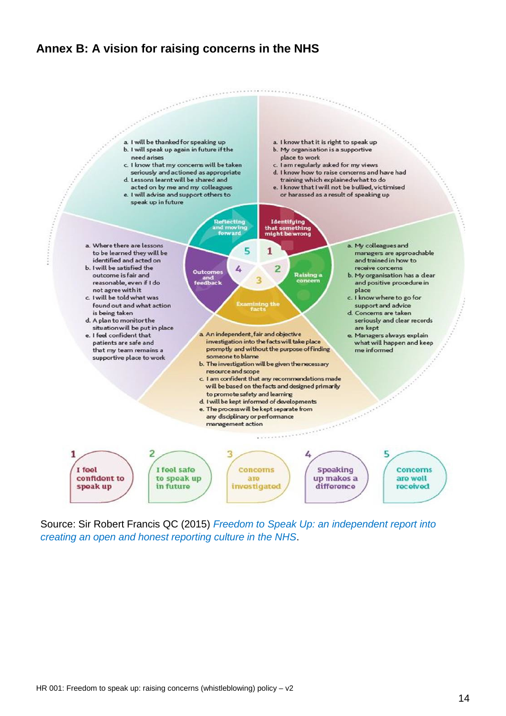# <span id="page-13-0"></span>**Annex B: A vision for raising concerns in the NHS**



Source: Sir Robert Francis QC (2015) *Freedom to Speak Up: an independent report into creating an open and honest reporting culture in the NHS*.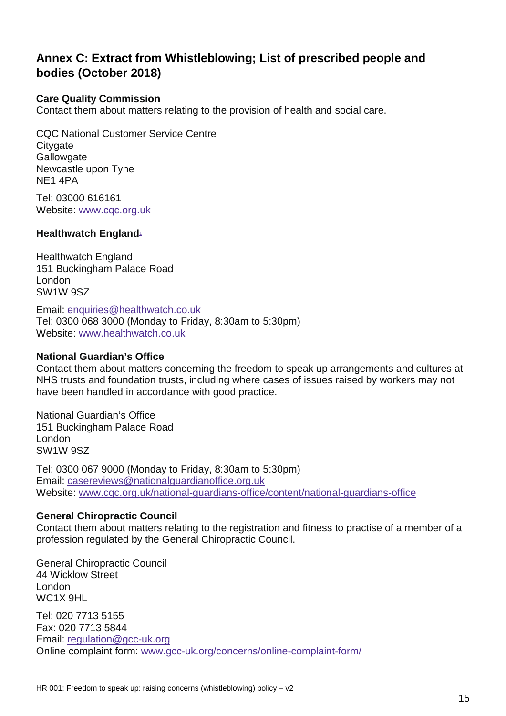# **Annex C: Extract from Whistleblowing; List of prescribed people and bodies (October 2018)**

# **Care Quality Commission**

Contact them about matters relating to the provision of health and social care.

CQC National Customer Service Centre **Citygate Gallowgate** Newcastle upon Tyne NE1 4PA

Tel: 03000 616161 Website: [www.cqc.org.uk](http://www.cqc.org.uk/)

# **Healthwatch Englan[d](https://www.gov.uk/government/publications/blowing-the-whistle-list-of-prescribed-people-and-bodies--2/whistleblowing-list-of-prescribed-people-and-bodies%23fn:1)**<sup>1</sup>

Healthwatch England 151 Buckingham Palace Road London SW1W 9SZ

Email: [enquiries@healthwatch.co.uk](mailto:enquiries@healthwatch.co.uk) Tel: 0300 068 3000 (Monday to Friday, 8:30am to 5:30pm) Website: [www.healthwatch.co.uk](http://www.healthwatch.co.uk/)

#### **National Guardian's Office**

Contact them about matters concerning the freedom to speak up arrangements and cultures at NHS trusts and foundation trusts, including where cases of issues raised by workers may not have been handled in accordance with good practice.

National Guardian's Office 151 Buckingham Palace Road London SW1W 9SZ

Tel: 0300 067 9000 (Monday to Friday, 8:30am to 5:30pm) Email: [casereviews@nationalguardianoffice.org.uk](mailto:casereviews@nationalguardianoffice.org.uk) Website: [www.cqc.org.uk/national-guardians-office/content/national-guardians-office](http://www.cqc.org.uk/national-guardians-office/content/national-guardians-office)

### **General Chiropractic Council**

Contact them about matters relating to the registration and fitness to practise of a member of a profession regulated by the General Chiropractic Council.

General Chiropractic Council 44 Wicklow Street London WC1X 9HL

Tel: 020 7713 5155 Fax: 020 7713 5844 Email: [regulation@gcc-uk.org](mailto:regulation@gcc-uk.org) Online complaint form: [www.gcc-uk.org/concerns/online-complaint-form/](https://www.gcc-uk.org/concerns/online-complaint-form/)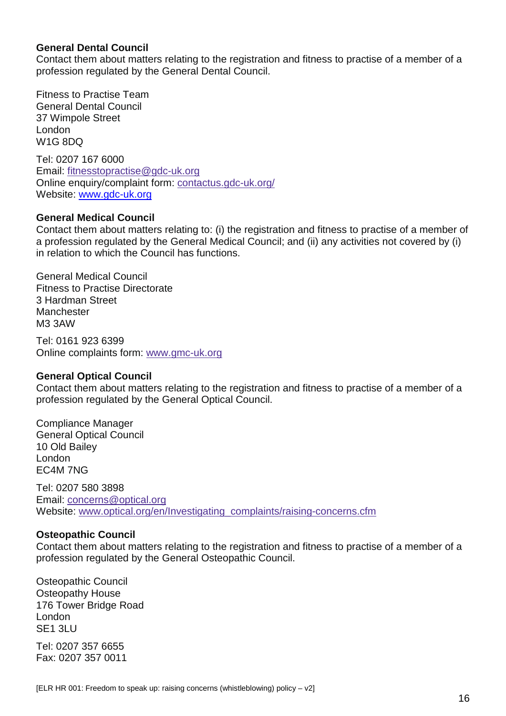### **General Dental Council**

Contact them about matters relating to the registration and fitness to practise of a member of a profession regulated by the General Dental Council.

Fitness to Practise Team General Dental Council 37 Wimpole Street London W1G 8DQ

Tel: 0207 167 6000 Email: [fitnesstopractise@gdc-uk.org](mailto:fitnesstopractise@gdc-uk.org) Online enquiry/complaint form: [contactus.gdc-uk.org/](https://contactus.gdc-uk.org/) Website: [www.gdc-uk.org](http://www.gdc-uk.org/)

#### **General Medical Council**

Contact them about matters relating to: (i) the registration and fitness to practise of a member of a profession regulated by the General Medical Council; and (ii) any activities not covered by (i) in relation to which the Council has functions.

General Medical Council Fitness to Practise Directorate 3 Hardman Street Manchester M3 3AW

Tel: 0161 923 6399 Online complaints form: [www.gmc-uk.org](http://www.gmc-uk.org/concerns/23339.asp)

#### **General Optical Council**

Contact them about matters relating to the registration and fitness to practise of a member of a profession regulated by the General Optical Council.

Compliance Manager General Optical Council 10 Old Bailey London EC4M 7NG

Tel: 0207 580 3898 Email: [concerns@optical.org](mailto:concerns@optical.org) Website: [www.optical.org/en/Investigating\\_complaints/raising-concerns.cfm](https://www.optical.org/en/Investigating_complaints/raising-concerns.cfm)

#### **Osteopathic Council**

Contact them about matters relating to the registration and fitness to practise of a member of a profession regulated by the General Osteopathic Council.

Osteopathic Council Osteopathy House 176 Tower Bridge Road London SE1 3LU

Tel: 0207 357 6655 Fax: 0207 357 0011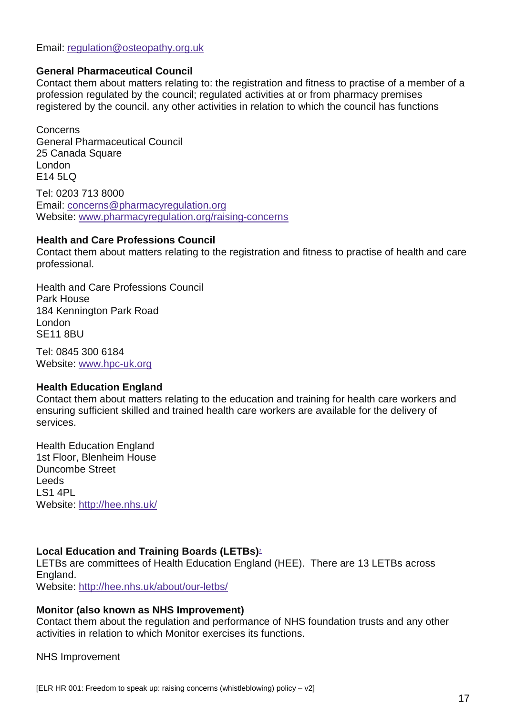Email: [regulation@osteopathy.org.uk](mailto:regulation@osteopathy.org.uk)

### **General Pharmaceutical Council**

Contact them about matters relating to: the registration and fitness to practise of a member of a profession regulated by the council; regulated activities at or from pharmacy premises registered by the council. any other activities in relation to which the council has functions

Concerns General Pharmaceutical Council 25 Canada Square London  $F145IQ$ Tel: 0203 713 8000

Email: [concerns@pharmacyregulation.org](mailto:concerns@pharmacyregulation.org) Website: [www.pharmacyregulation.org/raising-concerns](https://www.pharmacyregulation.org/raising-concerns)

#### **Health and Care Professions Council**

Contact them about matters relating to the registration and fitness to practise of health and care professional.

Health and Care Professions Council Park House 184 Kennington Park Road London SE11 8BU

Tel: 0845 300 6184 Website: [www.hpc-uk.org](http://www.hpc-uk.org/)

#### **Health Education England**

Contact them about matters relating to the education and training for health care workers and ensuring sufficient skilled and trained health care workers are available for the delivery of services.

Health Education England 1st Floor, Blenheim House Duncombe Street Leeds LS1 4PL Website: <http://hee.nhs.uk/>

# **Local Education and Training Boards (LETBs[\)](https://www.gov.uk/government/publications/blowing-the-whistle-list-of-prescribed-people-and-bodies--2/whistleblowing-list-of-prescribed-people-and-bodies%23fn:2)**<sup>2</sup>

LETBs are committees of Health Education England (HEE). There are 13 LETBs across England. Website: <http://hee.nhs.uk/about/our-letbs/>

### **Monitor (also known as NHS Improvement)**

Contact them about the regulation and performance of NHS foundation trusts and any other activities in relation to which Monitor exercises its functions.

#### NHS Improvement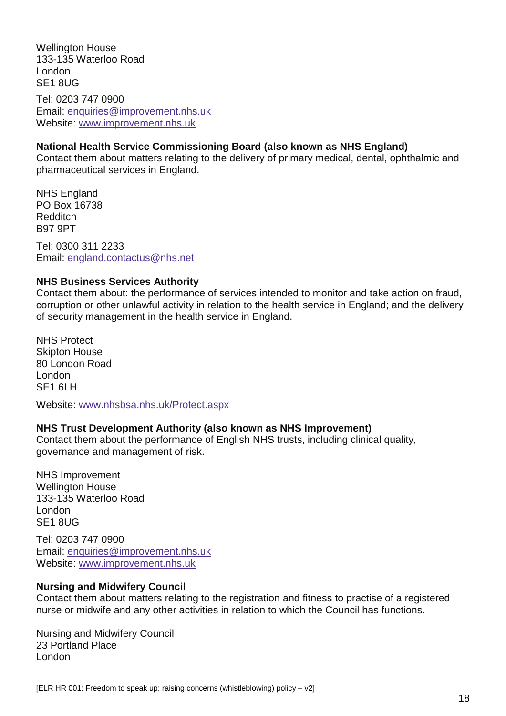Wellington House 133-135 Waterloo Road London SE1 8UG Tel: 0203 747 0900 Email: [enquiries@improvement.nhs.uk](mailto:enquiries@improvement.nhs.uk)

Website: [www.improvement.nhs.uk](http://www.improvement.nhs.uk/)

#### **National Health Service Commissioning Board (also known as NHS England)**

Contact them about matters relating to the delivery of primary medical, dental, ophthalmic and pharmaceutical services in England.

NHS England PO Box 16738 Redditch B97 9PT

Tel: 0300 311 2233 Email: [england.contactus@nhs.net](mailto:england.contactus@nhs.net)

#### **NHS Business Services Authority**

Contact them about: the performance of services intended to monitor and take action on fraud, corruption or other unlawful activity in relation to the health service in England; and the delivery of security management in the health service in England.

NHS Protect Skipton House 80 London Road London SE1 6LH

Website: [www.nhsbsa.nhs.uk/Protect.aspx](http://www.nhsbsa.nhs.uk/Protect.aspx)

### **NHS Trust Development Authority (also known as NHS Improvement)**

Contact them about the performance of English NHS trusts, including clinical quality, governance and management of risk.

NHS Improvement Wellington House 133-135 Waterloo Road London SE1 8UG

Tel: 0203 747 0900 Email: [enquiries@improvement.nhs.uk](mailto:enquiries@improvement.nhs.uk) Website: [www.improvement.nhs.uk](https://www.improvement.nhs.uk/)

#### **Nursing and Midwifery Council**

Contact them about matters relating to the registration and fitness to practise of a registered nurse or midwife and any other activities in relation to which the Council has functions.

Nursing and Midwifery Council 23 Portland Place London